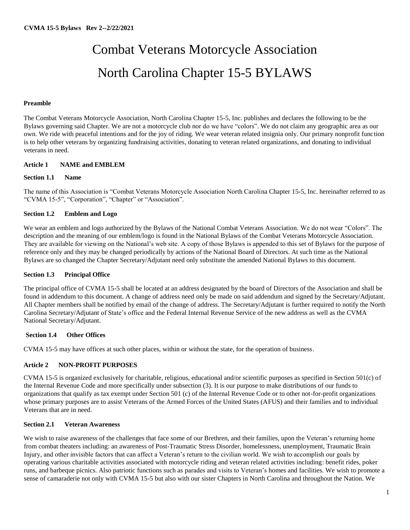# Combat Veterans Motorcycle Association North Carolina Chapter 15-5 BYLAWS

### **Preamble**

The Combat Veterans Motorcycle Association, North Carolina Chapter 15-5, Inc. publishes and declares the following to be the Bylaws governing said Chapter. We are not a motorcycle club nor do we have "colors". We do not claim any geographic area as our own. We ride with peaceful intentions and for the joy of riding. We wear veteran related insignia only. Our primary nonprofit function is to help other veterans by organizing fundraising activities, donating to veteran related organizations, and donating to individual veterans in need.

### **Article 1 NAME and EMBLEM**

### **Section 1.1 Name**

The name of this Association is "Combat Veterans Motorcycle Association North Carolina Chapter 15-5, Inc. hereinafter referred to as "CVMA 15-5", "Corporation", "Chapter" or "Association".

### **Section 1.2 Emblem and Logo**

We wear an emblem and logo authorized by the Bylaws of the National Combat Veterans Association. We do not wear "Colors". The description and the meaning of our emblem/logo is found in the National Bylaws of the Combat Veterans Motorcycle Association. They are available for viewing on the National's web site. A copy of those Bylaws is appended to this set of Bylaws for the purpose of reference only and they may be changed periodically by actions of the National Board of Directors. At such time as the National Bylaws are so changed the Chapter Secretary/Adjutant need only substitute the amended National Bylaws to this document.

#### **Section 1.3 Principal Office**

The principal office of CVMA 15-5 shall be located at an address designated by the board of Directors of the Association and shall be found in addendum to this document. A change of address need only be made on said addendum and signed by the Secretary/Adjutant. All Chapter members shall be notified by email of the change of address. The Secretary/Adjutant is further required to notify the North Carolina Secretary/Adjutant of State's office and the Federal Internal Revenue Service of the new address as well as the CVMA National Secretary/Adjutant.

#### **Section 1.4 Other Offices**

CVMA 15-5 may have offices at such other places, within or without the state, for the operation of business.

#### **Article 2 NON-PROFIT PURPOSES**

CVMA 15-5 is organized exclusively for charitable, religious, educational and/or scientific purposes as specified in Section 501(c) of the Internal Revenue Code and more specifically under subsection (3). It is our purpose to make distributions of our funds to organizations that qualify as tax exempt under Section 501 (c) of the Internal Revenue Code or to other not-for-profit organizations whose primary purposes are to assist Veterans of the Armed Forces of the United States (AFUS) and their families and to individual Veterans that are in need.

### **Section 2.1 Veteran Awareness**

We wish to raise awareness of the challenges that face some of our Brethren, and their families, upon the Veteran's returning home from combat theaters including: an awareness of Post-Traumatic Stress Disorder, homelessness, unemployment, Traumatic Brain Injury, and other invisible factors that can affect a Veteran's return to the civilian world. We wish to accomplish our goals by operating various charitable activities associated with motorcycle riding and veteran related activities including: benefit rides, poker runs, and barbeque picnics. Also patriotic functions such as parades and visits to Veteran's homes and facilities. We wish to promote a sense of camaraderie not only with CVMA 15-5 but also with our sister Chapters in North Carolina and throughout the Nation. We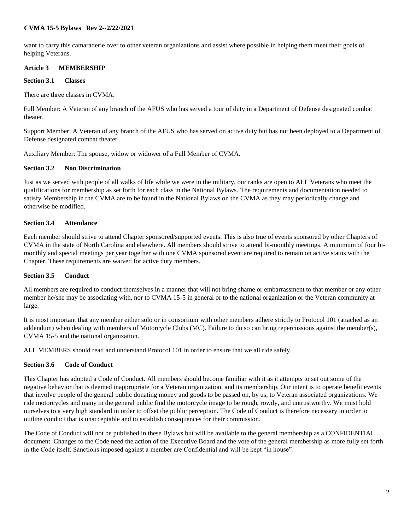want to carry this camaraderie over to other veteran organizations and assist where possible in helping them meet their goals of helping Veterans.

### **Article 3 MEMBERSHIP**

### **Section 3.1 Classes**

There are three classes in CVMA:

Full Member: A Veteran of any branch of the AFUS who has served a tour of duty in a Department of Defense designated combat theater.

Support Member: A Veteran of any branch of the AFUS who has served on active duty but has not been deployed to a Department of Defense designated combat theater.

Auxiliary Member: The spouse, widow or widower of a Full Member of CVMA.

### **Section 3.2 Non Discrimination**

Just as we served with people of all walks of life while we were in the military, our ranks are open to ALL Veterans who meet the qualifications for membership as set forth for each class in the National Bylaws. The requirements and documentation needed to satisfy Membership in the CVMA are to be found in the National Bylaws on the CVMA as they may periodically change and otherwise be modified.

### **Section 3.4 Attendance**

Each member should strive to attend Chapter sponsored/supported events. This is also true of events sponsored by other Chapters of CVMA in the state of North Carolina and elsewhere. All members should strive to attend bi-monthly meetings. A minimum of four bimonthly and special meetings per year together with one CVMA sponsored event are required to remain on active status with the Chapter. These requirements are waived for active duty members.

### **Section 3.5 Conduct**

All members are required to conduct themselves in a manner that will not bring shame or embarrassment to that member or any other member he/she may be associating with, nor to CVMA 15-5 in general or to the national organization or the Veteran community at large.

It is most important that any member either solo or in consortium with other members adhere strictly to Protocol 101 (attached as an addendum) when dealing with members of Motorcycle Clubs (MC). Failure to do so can bring repercussions against the member(s), CVMA 15-5 and the national organization.

ALL MEMBERS should read and understand Protocol 101 in order to ensure that we all ride safely.

### **Section 3.6 Code of Conduct**

This Chapter has adopted a Code of Conduct. All members should become familiar with it as it attempts to set out some of the negative behavior that is deemed inappropriate for a Veteran organization, and its membership. Our intent is to operate benefit events that involve people of the general public donating money and goods to be passed on, by us, to Veteran associated organizations. We ride motorcycles and many in the general public find the motorcycle image to be rough, rowdy, and untrustworthy. We must hold ourselves to a very high standard in order to offset the public perception. The Code of Conduct is therefore necessary in order to outline conduct that is unacceptable and to establish consequences for their commission.

The Code of Conduct will not be published in these Bylaws but will be available to the general membership as a CONFIDENTIAL document. Changes to the Code need the action of the Executive Board and the vote of the general membership as more fully set forth in the Code itself. Sanctions imposed against a member are Confidential and will be kept "in house".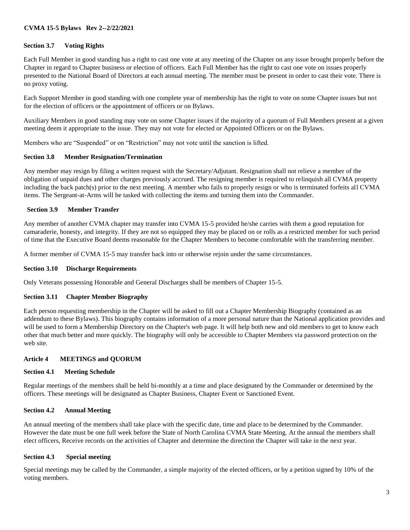### **Section 3.7 Voting Rights**

Each Full Member in good standing has a right to cast one vote at any meeting of the Chapter on any issue brought properly before the Chapter in regard to Chapter business or election of officers. Each Full Member has the right to cast one vote on issues properly presented to the National Board of Directors at each annual meeting. The member must be present in order to cast their vote. There is no proxy voting.

Each Support Member in good standing with one complete year of membership has the right to vote on some Chapter issues but not for the election of officers or the appointment of officers or on Bylaws.

Auxiliary Members in good standing may vote on some Chapter issues if the majority of a quorum of Full Members present at a given meeting deem it appropriate to the issue. They may not vote for elected or Appointed Officers or on the Bylaws.

Members who are "Suspended" or on "Restriction" may not vote until the sanction is lifted.

#### **Section 3.8 Member Resignation/Termination**

Any member may resign by filing a written request with the Secretary/Adjutant. Resignation shall not relieve a member of the obligation of unpaid dues and other charges previously accrued. The resigning member is required to relinquish all CVMA property including the back patch(s) prior to the next meeting. A member who fails to properly resign or who is terminated forfeits all CVMA items. The Sergeant-at-Arms will be tasked with collecting the items and turning them into the Commander.

### **Section 3.9 Member Transfer**

Any member of another CVMA chapter may transfer into CVMA 15-5 provided he/she carries with them a good reputation for camaraderie, honesty, and integrity. If they are not so equipped they may be placed on or rolls as a restricted member for such period of time that the Executive Board deems reasonable for the Chapter Members to become comfortable with the transferring member.

A former member of CVMA 15-5 may transfer back into or otherwise rejoin under the same circumstances.

#### **Section 3.10 Discharge Requirements**

Only Veterans possessing Honorable and General Discharges shall be members of Chapter 15-5.

#### **Section 3.11 Chapter Member Biography**

Each person requesting membership in the Chapter will be asked to fill out a Chapter Membership Biography (contained as an addendum to these Bylaws). This biography contains information of a more personal nature than the National application provides and will be used to form a Membership Directory on the Chapter's web page. It will help both new and old members to get to know each other that much better and more quickly. The biography will only be accessible to Chapter Members via password protection on the web site.

#### **Article 4 MEETINGS and QUORUM**

#### **Section 4.1 Meeting Schedule**

Regular meetings of the members shall be held bi-monthly at a time and place designated by the Commander or determined by the officers. These meetings will be designated as Chapter Business, Chapter Event or Sanctioned Event.

#### **Section 4.2 Annual Meeting**

An annual meeting of the members shall take place with the specific date, time and place to be determined by the Commander. However the date must be one full week before the State of North Carolina CVMA State Meeting. At the annual the members shall elect officers, Receive records on the activities of Chapter and determine the direction the Chapter will take in the next year.

#### **Section 4.3 Special meeting**

Special meetings may be called by the Commander, a simple majority of the elected officers, or by a petition signed by 10% of the voting members.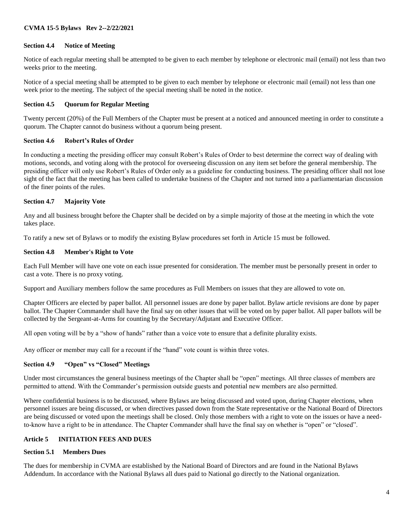### **Section 4.4 Notice of Meeting**

Notice of each regular meeting shall be attempted to be given to each member by telephone or electronic mail (email) not less than two weeks prior to the meeting.

Notice of a special meeting shall be attempted to be given to each member by telephone or electronic mail (email) not less than one week prior to the meeting. The subject of the special meeting shall be noted in the notice.

#### **Section 4.5 Quorum for Regular Meeting**

Twenty percent (20%) of the Full Members of the Chapter must be present at a noticed and announced meeting in order to constitute a quorum. The Chapter cannot do business without a quorum being present.

### **Section 4.6 Robert's Rules of Order**

In conducting a meeting the presiding officer may consult Robert's Rules of Order to best determine the correct way of dealing with motions, seconds, and voting along with the protocol for overseeing discussion on any item set before the general membership. The presiding officer will only use Robert's Rules of Order only as a guideline for conducting business. The presiding officer shall not lose sight of the fact that the meeting has been called to undertake business of the Chapter and not turned into a parliamentarian discussion of the finer points of the rules.

#### **Section 4.7 Majority Vote**

Any and all business brought before the Chapter shall be decided on by a simple majority of those at the meeting in which the vote takes place.

To ratify a new set of Bylaws or to modify the existing Bylaw procedures set forth in Article 15 must be followed.

#### **Section 4.8 Member's Right to Vote**

Each Full Member will have one vote on each issue presented for consideration. The member must be personally present in order to cast a vote. There is no proxy voting.

Support and Auxiliary members follow the same procedures as Full Members on issues that they are allowed to vote on.

Chapter Officers are elected by paper ballot. All personnel issues are done by paper ballot. Bylaw article revisions are done by paper ballot. The Chapter Commander shall have the final say on other issues that will be voted on by paper ballot. All paper ballots will be collected by the Sergeant-at-Arms for counting by the Secretary/Adjutant and Executive Officer.

All open voting will be by a "show of hands" rather than a voice vote to ensure that a definite plurality exists.

Any officer or member may call for a recount if the "hand" vote count is within three votes.

### **Section 4.9 "Open" vs "Closed" Meetings**

Under most circumstances the general business meetings of the Chapter shall be "open" meetings. All three classes of members are permitted to attend. With the Commander's permission outside guests and potential new members are also permitted.

Where confidential business is to be discussed, where Bylaws are being discussed and voted upon, during Chapter elections, when personnel issues are being discussed, or when directives passed down from the State representative or the National Board of Directors are being discussed or voted upon the meetings shall be closed. Only those members with a right to vote on the issues or have a needto-know have a right to be in attendance. The Chapter Commander shall have the final say on whether is "open" or "closed".

### **Article 5 INITIATION FEES AND DUES**

### **Section 5.1 Members Dues**

The dues for membership in CVMA are established by the National Board of Directors and are found in the National Bylaws Addendum. In accordance with the National Bylaws all dues paid to National go directly to the National organization.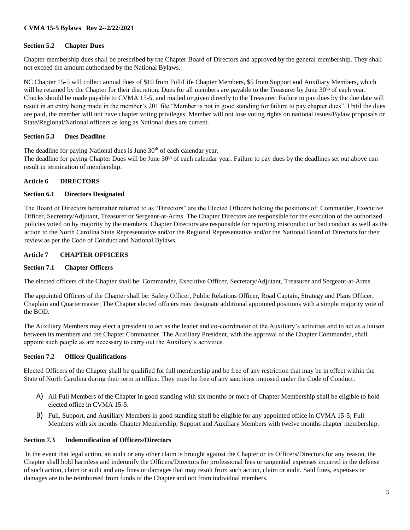### **Section 5.2 Chapter Dues**

Chapter membership dues shall be prescribed by the Chapter Board of Directors and approved by the general membership. They shall not exceed the amount authorized by the National Bylaws.

NC Chapter 15-5 will collect annual dues of \$10 from Full/Life Chapter Members, \$5 from Support and Auxiliary Members, which will be retained by the Chapter for their discretion. Dues for all members are payable to the Treasurer by June 30<sup>th</sup> of each year. Checks should be made payable to CVMA 15-5, and mailed or given directly to the Treasurer. Failure to pay dues by the due date will result in an entry being made in the member's 201 file "Member is not in good standing for failure to pay chapter dues". Until the dues are paid, the member will not have chapter voting privileges. Member will not lose voting rights on national issues/Bylaw proposals or State/Regional/National officers as long as National dues are current.

### **Section 5.3 Dues Deadline**

The deadline for paying National dues is June 30<sup>th</sup> of each calendar year.

The deadline for paying Chapter Dues will be June  $30<sup>th</sup>$  of each calendar year. Failure to pay dues by the deadlines set out above can result in termination of membership.

#### **Article 6 DIRECTORS**

#### **Section 6.1 Directors Designated**

The Board of Directors hereinafter referred to as "Directors" are the Elected Officers holding the positions of: Commander, Executive Officer, Secretary/Adjutant, Treasurer or Sergeant-at-Arms. The Chapter Directors are responsible for the execution of the authorized policies voted on by majority by the members. Chapter Directors are responsible for reporting misconduct or bad conduct as well as the action to the North Carolina State Representative and/or the Regional Representative and/or the National Board of Directors for their review as per the Code of Conduct and National Bylaws.

### **Article 7 CHAPTER OFFICERS**

### **Section 7.1 Chapter Officers**

The elected officers of the Chapter shall be: Commander, Executive Officer, Secretary/Adjutant, Treasurer and Sergeant-at-Arms.

The appointed Officers of the Chapter shall be: Safety Officer, Public Relations Officer, Road Captain, Strategy and Plans Officer, Chaplain and Quartermaster. The Chapter elected officers may designate additional appointed positions with a simple majority vote of the BOD.

The Auxiliary Members may elect a president to act as the leader and co-coordinator of the Auxiliary's activities and to act as a liaison between its members and the Chapter Commander. The Auxiliary President, with the approval of the Chapter Commander, shall appoint such people as are necessary to carry out the Auxiliary's activities.

### **Section 7.2 Officer Qualifications**

Elected Officers of the Chapter shall be qualified for full membership and be free of any restriction that may be in effect within the State of North Carolina during their term in office. They must be free of any sanctions imposed under the Code of Conduct.

- A) All Full Members of the Chapter in good standing with six months or more of Chapter Membership shall be eligible to hold elected office in CVMA 15-5.
- B) Full, Support, and Auxiliary Members in good standing shall be eligible for any appointed office in CVMA 15-5; Full Members with six months Chapter Membership; Support and Auxiliary Members with twelve months chapter membership.

### **Section 7.3 Indemnification of Officers/Directors**

In the event that legal action, an audit or any other claim is brought against the Chapter or its Officers/Directors for any reason, the Chapter shall hold harmless and indemnify the Officers/Directors for professional fees or tangential expenses incurred in the defense of such action, claim or audit and any fines or damages that may result from such action, claim or audit. Said fines, expenses or damages are to be reimbursed from funds of the Chapter and not from individual members.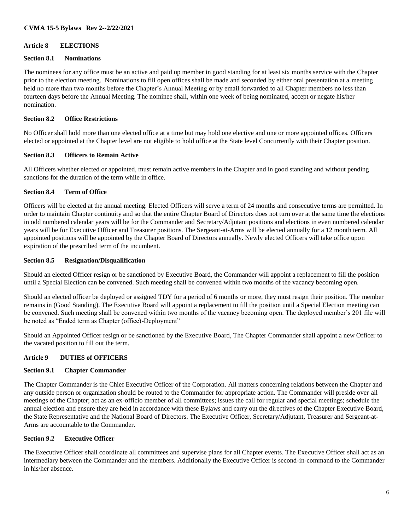### **Article 8 ELECTIONS**

### **Section 8.1 Nominations**

The nominees for any office must be an active and paid up member in good standing for at least six months service with the Chapter prior to the election meeting. Nominations to fill open offices shall be made and seconded by either oral presentation at a meeting held no more than two months before the Chapter's Annual Meeting or by email forwarded to all Chapter members no less than fourteen days before the Annual Meeting. The nominee shall, within one week of being nominated, accept or negate his/her nomination.

### **Section 8.2 Office Restrictions**

No Officer shall hold more than one elected office at a time but may hold one elective and one or more appointed offices. Officers elected or appointed at the Chapter level are not eligible to hold office at the State level Concurrently with their Chapter position.

### **Section 8.3 Officers to Remain Active**

All Officers whether elected or appointed, must remain active members in the Chapter and in good standing and without pending sanctions for the duration of the term while in office.

# **Section 8.4 Term of Office**

Officers will be elected at the annual meeting. Elected Officers will serve a term of 24 months and consecutive terms are permitted. In order to maintain Chapter continuity and so that the entire Chapter Board of Directors does not turn over at the same time the elections in odd numbered calendar years will be for the Commander and Secretary/Adjutant positions and elections in even numbered calendar years will be for Executive Officer and Treasurer positions. The Sergeant-at-Arms will be elected annually for a 12 month term. All appointed positions will be appointed by the Chapter Board of Directors annually. Newly elected Officers will take office upon expiration of the prescribed term of the incumbent.

### **Section 8.5 Resignation/Disqualification**

Should an elected Officer resign or be sanctioned by Executive Board, the Commander will appoint a replacement to fill the position until a Special Election can be convened. Such meeting shall be convened within two months of the vacancy becoming open.

Should an elected officer be deployed or assigned TDY for a period of 6 months or more, they must resign their position. The member remains in (Good Standing). The Executive Board will appoint a replacement to fill the position until a Special Election meeting can be convened. Such meeting shall be convened within two months of the vacancy becoming open. The deployed member's 201 file will be noted as "Ended term as Chapter (office)-Deployment"

Should an Appointed Officer resign or be sanctioned by the Executive Board, The Chapter Commander shall appoint a new Officer to the vacated position to fill out the term.

### **Article 9 DUTIES of OFFICERS**

### **Section 9.1 Chapter Commander**

The Chapter Commander is the Chief Executive Officer of the Corporation. All matters concerning relations between the Chapter and any outside person or organization should be routed to the Commander for appropriate action. The Commander will preside over all meetings of the Chapter; act as an ex-officio member of all committees; issues the call for regular and special meetings; schedule the annual election and ensure they are held in accordance with these Bylaws and carry out the directives of the Chapter Executive Board, the State Representative and the National Board of Directors. The Executive Officer, Secretary/Adjutant, Treasurer and Sergeant-at-Arms are accountable to the Commander.

### **Section 9.2 Executive Officer**

The Executive Officer shall coordinate all committees and supervise plans for all Chapter events. The Executive Officer shall act as an intermediary between the Commander and the members. Additionally the Executive Officer is second-in-command to the Commander in his/her absence.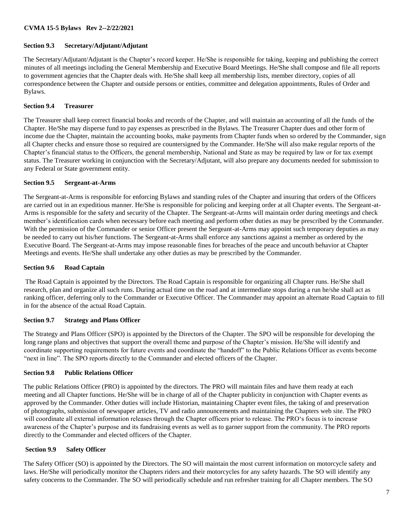# **Section 9.3 Secretary/Adjutant/Adjutant**

The Secretary/Adjutant/Adjutant is the Chapter's record keeper. He/She is responsible for taking, keeping and publishing the correct minutes of all meetings including the General Membership and Executive Board Meetings. He/She shall compose and file all reports to government agencies that the Chapter deals with. He/She shall keep all membership lists, member directory, copies of all correspondence between the Chapter and outside persons or entities, committee and delegation appointments, Rules of Order and Bylaws.

# **Section 9.4 Treasurer**

The Treasurer shall keep correct financial books and records of the Chapter, and will maintain an accounting of all the funds of the Chapter. He/She may disperse fund to pay expenses as prescribed in the Bylaws. The Treasurer Chapter dues and other form of income due the Chapter, maintain the accounting books, make payments from Chapter funds when so ordered by the Commander, sign all Chapter checks and ensure those so required are countersigned by the Commander. He/She will also make regular reports of the Chapter's financial status to the Officers, the general membership, National and State as may be required by law or for tax exempt status. The Treasurer working in conjunction with the Secretary/Adjutant, will also prepare any documents needed for submission to any Federal or State government entity.

# **Section 9.5 Sergeant-at-Arms**

The Sergeant-at-Arms is responsible for enforcing Bylaws and standing rules of the Chapter and insuring that orders of the Officers are carried out in an expeditious manner. He/She is responsible for policing and keeping order at all Chapter events. The Sergeant-at-Arms is responsible for the safety and security of the Chapter. The Sergeant-at-Arms will maintain order during meetings and check member's identification cards when necessary before each meeting and perform other duties as may be prescribed by the Commander. With the permission of the Commander or senior Officer present the Sergeant-at-Arms may appoint such temporary deputies as may be needed to carry out his/her functions. The Sergeant-at-Arms shall enforce any sanctions against a member as ordered by the Executive Board. The Sergeant-at-Arms may impose reasonable fines for breaches of the peace and uncouth behavior at Chapter Meetings and events. He/She shall undertake any other duties as may be prescribed by the Commander.

# **Section 9.6 Road Captain**

The Road Captain is appointed by the Directors. The Road Captain is responsible for organizing all Chapter runs. He/She shall research, plan and organize all such runs. During actual time on the road and at intermediate stops during a run he/she shall act as ranking officer, deferring only to the Commander or Executive Officer. The Commander may appoint an alternate Road Captain to fill in for the absence of the actual Road Captain.

# **Section 9.7 Strategy and Plans Officer**

The Strategy and Plans Officer (SPO) is appointed by the Directors of the Chapter. The SPO will be responsible for developing the long range plans and objectives that support the overall theme and purpose of the Chapter's mission. He/She will identify and coordinate supporting requirements for future events and coordinate the "handoff" to the Public Relations Officer as events become "next in line". The SPO reports directly to the Commander and elected officers of the Chapter.

# **Section 9.8 Public Relations Officer**

The public Relations Officer (PRO) is appointed by the directors. The PRO will maintain files and have them ready at each meeting and all Chapter functions. He/She will be in charge of all of the Chapter publicity in conjunction with Chapter events as approved by the Commander. Other duties will include Historian, maintaining Chapter event files, the taking of and preservation of photographs, submission of newspaper articles, TV and radio announcements and maintaining the Chapters web site. The PRO will coordinate all external information releases through the Chapter officers prior to release. The PRO's focus is to increase awareness of the Chapter's purpose and its fundraising events as well as to garner support from the community. The PRO reports directly to the Commander and elected officers of the Chapter.

# **Section 9.9 Safety Officer**

The Safety Officer (SO) is appointed by the Directors. The SO will maintain the most current information on motorcycle safety and laws. He/She will periodically monitor the Chapters riders and their motorcycles for any safety hazards. The SO will identify any safety concerns to the Commander. The SO will periodically schedule and run refresher training for all Chapter members. The SO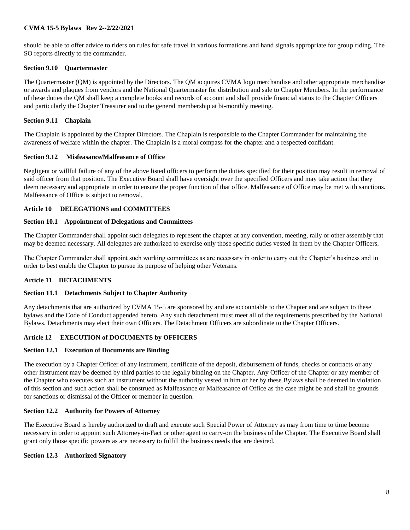should be able to offer advice to riders on rules for safe travel in various formations and hand signals appropriate for group riding. The SO reports directly to the commander.

### **Section 9.10 Quartermaster**

The Quartermaster (QM) is appointed by the Directors. The QM acquires CVMA logo merchandise and other appropriate merchandise or awards and plaques from vendors and the National Quartermaster for distribution and sale to Chapter Members. In the performance of these duties the QM shall keep a complete books and records of account and shall provide financial status to the Chapter Officers and particularly the Chapter Treasurer and to the general membership at bi-monthly meeting.

### **Section 9.11 Chaplain**

The Chaplain is appointed by the Chapter Directors. The Chaplain is responsible to the Chapter Commander for maintaining the awareness of welfare within the chapter. The Chaplain is a moral compass for the chapter and a respected confidant.

### **Section 9.12 Misfeasance/Malfeasance of Office**

Negligent or willful failure of any of the above listed officers to perform the duties specified for their position may result in removal of said officer from that position. The Executive Board shall have oversight over the specified Officers and may take action that they deem necessary and appropriate in order to ensure the proper function of that office. Malfeasance of Office may be met with sanctions. Malfeasance of Office is subject to removal.

### **Article 10 DELEGATIONS and COMMITTEES**

### **Section 10.1 Appointment of Delegations and Committees**

The Chapter Commander shall appoint such delegates to represent the chapter at any convention, meeting, rally or other assembly that may be deemed necessary. All delegates are authorized to exercise only those specific duties vested in them by the Chapter Officers.

The Chapter Commander shall appoint such working committees as are necessary in order to carry out the Chapter's business and in order to best enable the Chapter to pursue its purpose of helping other Veterans.

### **Article 11 DETACHMENTS**

### **Section 11.1 Detachments Subject to Chapter Authority**

Any detachments that are authorized by CVMA 15-5 are sponsored by and are accountable to the Chapter and are subject to these bylaws and the Code of Conduct appended hereto. Any such detachment must meet all of the requirements prescribed by the National Bylaws. Detachments may elect their own Officers. The Detachment Officers are subordinate to the Chapter Officers.

### **Article 12 EXECUTION of DOCUMENTS by OFFICERS**

# **Section 12.1 Execution of Documents are Binding**

The execution by a Chapter Officer of any instrument, certificate of the deposit, disbursement of funds, checks or contracts or any other instrument may be deemed by third parties to the legally binding on the Chapter. Any Officer of the Chapter or any member of the Chapter who executes such an instrument without the authority vested in him or her by these Bylaws shall be deemed in violation of this section and such action shall be construed as Malfeasance or Malfeasance of Office as the case might be and shall be grounds for sanctions or dismissal of the Officer or member in question.

# **Section 12.2 Authority for Powers of Attorney**

The Executive Board is hereby authorized to draft and execute such Special Power of Attorney as may from time to time become necessary in order to appoint such Attorney-in-Fact or other agent to carry-on the business of the Chapter. The Executive Board shall grant only those specific powers as are necessary to fulfill the business needs that are desired.

# **Section 12.3 Authorized Signatory**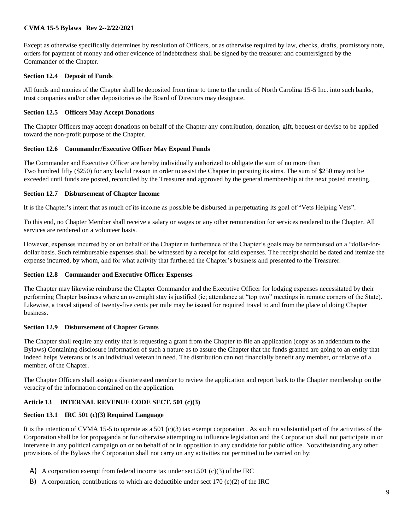Except as otherwise specifically determines by resolution of Officers, or as otherwise required by law, checks, drafts, promissory note, orders for payment of money and other evidence of indebtedness shall be signed by the treasurer and countersigned by the Commander of the Chapter.

### **Section 12.4 Deposit of Funds**

All funds and monies of the Chapter shall be deposited from time to time to the credit of North Carolina 15-5 Inc. into such banks, trust companies and/or other depositories as the Board of Directors may designate.

### **Section 12.5 Officers May Accept Donations**

The Chapter Officers may accept donations on behalf of the Chapter any contribution, donation, gift, bequest or devise to be applied toward the non-profit purpose of the Chapter.

### **Section 12.6 Commander/Executive Officer May Expend Funds**

The Commander and Executive Officer are hereby individually authorized to obligate the sum of no more than Two hundred fifty (\$250) for any lawful reason in order to assist the Chapter in pursuing its aims. The sum of \$250 may not be exceeded until funds are posted, reconciled by the Treasurer and approved by the general membership at the next posted meeting.

### **Section 12.7 Disbursement of Chapter Income**

It is the Chapter's intent that as much of its income as possible be disbursed in perpetuating its goal of "Vets Helping Vets".

To this end, no Chapter Member shall receive a salary or wages or any other remuneration for services rendered to the Chapter. All services are rendered on a volunteer basis.

However, expenses incurred by or on behalf of the Chapter in furtherance of the Chapter's goals may be reimbursed on a "dollar-fordollar basis. Such reimbursable expenses shall be witnessed by a receipt for said expenses. The receipt should be dated and itemize the expense incurred, by whom, and for what activity that furthered the Chapter's business and presented to the Treasurer.

### **Section 12.8 Commander and Executive Officer Expenses**

The Chapter may likewise reimburse the Chapter Commander and the Executive Officer for lodging expenses necessitated by their performing Chapter business where an overnight stay is justified (ie; attendance at "top two" meetings in remote corners of the State). Likewise, a travel stipend of twenty-five cents per mile may be issued for required travel to and from the place of doing Chapter business.

### **Section 12.9 Disbursement of Chapter Grants**

The Chapter shall require any entity that is requesting a grant from the Chapter to file an application (copy as an addendum to the Bylaws) Containing disclosure information of such a nature as to assure the Chapter that the funds granted are going to an entity that indeed helps Veterans or is an individual veteran in need. The distribution can not financially benefit any member, or relative of a member, of the Chapter.

The Chapter Officers shall assign a disinterested member to review the application and report back to the Chapter membership on the veracity of the information contained on the application.

### **Article 13 INTERNAL REVENUE CODE SECT. 501 (c)(3)**

### **Section 13.1 IRC 501 (c)(3) Required Language**

It is the intention of CVMA 15-5 to operate as a 501 (c)(3) tax exempt corporation. As such no substantial part of the activities of the Corporation shall be for propaganda or for otherwise attempting to influence legislation and the Corporation shall not participate in or intervene in any political campaign on or on behalf of or in opposition to any candidate for public office. Notwithstanding any other provisions of the Bylaws the Corporation shall not carry on any activities not permitted to be carried on by:

- A) A corporation exempt from federal income tax under sect.501 (c)(3) of the IRC
- B) A corporation, contributions to which are deductible under sect 170 (c)(2) of the IRC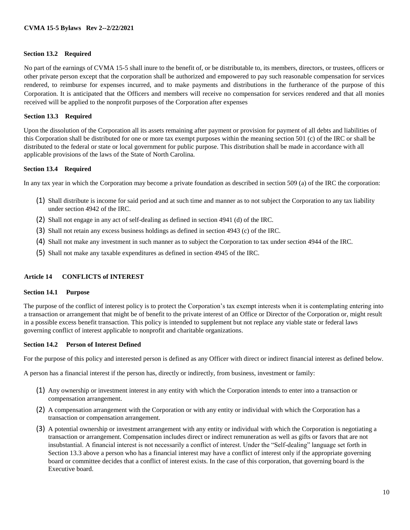#### **Section 13.2 Required**

No part of the earnings of CVMA 15-5 shall inure to the benefit of, or be distributable to, its members, directors, or trustees, officers or other private person except that the corporation shall be authorized and empowered to pay such reasonable compensation for services rendered, to reimburse for expenses incurred, and to make payments and distributions in the furtherance of the purpose of this Corporation. It is anticipated that the Officers and members will receive no compensation for services rendered and that all monies received will be applied to the nonprofit purposes of the Corporation after expenses

#### **Section 13.3 Required**

Upon the dissolution of the Corporation all its assets remaining after payment or provision for payment of all debts and liabilities of this Corporation shall be distributed for one or more tax exempt purposes within the meaning section 501 (c) of the IRC or shall be distributed to the federal or state or local government for public purpose. This distribution shall be made in accordance with all applicable provisions of the laws of the State of North Carolina.

#### **Section 13.4 Required**

In any tax year in which the Corporation may become a private foundation as described in section 509 (a) of the IRC the corporation:

- (1) Shall distribute is income for said period and at such time and manner as to not subject the Corporation to any tax liability under section 4942 of the IRC.
- (2) Shall not engage in any act of self-dealing as defined in section 4941 (d) of the IRC.
- (3) Shall not retain any excess business holdings as defined in section 4943 (c) of the IRC.
- (4) Shall not make any investment in such manner as to subject the Corporation to tax under section 4944 of the IRC.
- (5) Shall not make any taxable expenditures as defined in section 4945 of the IRC.

#### **Article 14 CONFLICTS of INTEREST**

#### **Section 14.1 Purpose**

The purpose of the conflict of interest policy is to protect the Corporation's tax exempt interests when it is contemplating entering into a transaction or arrangement that might be of benefit to the private interest of an Office or Director of the Corporation or, might result in a possible excess benefit transaction. This policy is intended to supplement but not replace any viable state or federal laws governing conflict of interest applicable to nonprofit and charitable organizations.

#### **Section 14.2 Person of Interest Defined**

For the purpose of this policy and interested person is defined as any Officer with direct or indirect financial interest as defined below.

A person has a financial interest if the person has, directly or indirectly, from business, investment or family:

- (1) Any ownership or investment interest in any entity with which the Corporation intends to enter into a transaction or compensation arrangement.
- (2) A compensation arrangement with the Corporation or with any entity or individual with which the Corporation has a transaction or compensation arrangement.
- (3) A potential ownership or investment arrangement with any entity or individual with which the Corporation is negotiating a transaction or arrangement. Compensation includes direct or indirect remuneration as well as gifts or favors that are not insubstantial. A financial interest is not necessarily a conflict of interest. Under the "Self-dealing" language set forth in Section 13.3 above a person who has a financial interest may have a conflict of interest only if the appropriate governing board or committee decides that a conflict of interest exists. In the case of this corporation, that governing board is the Executive board.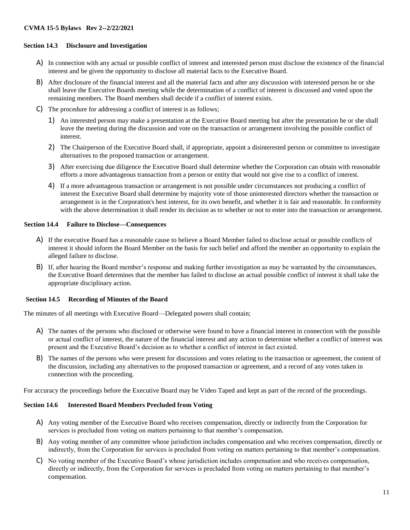# **Section 14.3 Disclosure and Investigation**

- A) In connection with any actual or possible conflict of interest and interested person must disclose the existence of the financial interest and be given the opportunity to disclose all material facts to the Executive Board.
- B) After disclosure of the financial interest and all the material facts and after any discussion with interested person he or she shall leave the Executive Boards meeting while the determination of a conflict of interest is discussed and voted upon the remaining members. The Board members shall decide if a conflict of interest exists.
- C) The procedure for addressing a conflict of interest is as follows;
	- 1) An interested person may make a presentation at the Executive Board meeting but after the presentation he or she shall leave the meeting during the discussion and vote on the transaction or arrangement involving the possible conflict of interest.
	- 2) The Chairperson of the Executive Board shall, if appropriate, appoint a disinterested person or committee to investigate alternatives to the proposed transaction or arrangement.
	- 3) After exercising due diligence the Executive Board shall determine whether the Corporation can obtain with reasonable efforts a more advantageous transaction from a person or entity that would not give rise to a conflict of interest.
	- 4) If a more advantageous transaction or arrangement is not possible under circumstances not producing a conflict of interest the Executive Board shall determine by majority vote of those uninterested directors whether the transaction or arrangement is in the Corporation's best interest, for its own benefit, and whether it is fair and reasonable. In conformity with the above determination it shall render its decision as to whether or not to enter into the transaction or arrangement.

#### **Section 14.4 Failure to Disclose—Consequences**

- A) If the executive Board has a reasonable cause to believe a Board Member failed to disclose actual or possible conflicts of interest it should inform the Board Member on the basis for such belief and afford the member an opportunity to explain the alleged failure to disclose.
- B) If, after hearing the Board member's response and making further investigation as may be warranted by the circumstances, the Executive Board determines that the member has failed to disclose an actual possible conflict of interest it shall take the appropriate disciplinary action.

### **Section 14.5 Recording of Minutes of the Board**

The minutes of all meetings with Executive Board—Delegated powers shall contain;

- A) The names of the persons who disclosed or otherwise were found to have a financial interest in connection with the possible or actual conflict of interest, the nature of the financial interest and any action to determine whether a conflict of interest was present and the Executive Board's decision as to whether a conflict of interest in fact existed.
- B) The names of the persons who were present for discussions and votes relating to the transaction or agreement, the content of the discussion, including any alternatives to the proposed transaction or agreement, and a record of any votes taken in connection with the proceeding.

For accuracy the proceedings before the Executive Board may be Video Taped and kept as part of the record of the proceedings.

### **Section 14.6 Interested Board Members Precluded from Voting**

- A) Any voting member of the Executive Board who receives compensation, directly or indirectly from the Corporation for services is precluded from voting on matters pertaining to that member's compensation.
- B) Any voting member of any committee whose jurisdiction includes compensation and who receives compensation, directly or indirectly, from the Corporation for services is precluded from voting on matters pertaining to that member's compensation.
- C) No voting member of the Executive Board's whose jurisdiction includes compensation and who receives compensation, directly or indirectly, from the Corporation for services is precluded from voting on matters pertaining to that member's compensation.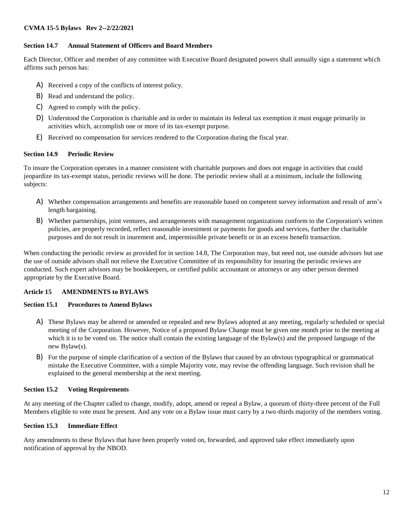# **Section 14.7 Annual Statement of Officers and Board Members**

Each Director, Officer and member of any committee with Executive Board designated powers shall annually sign a statement which affirms such person has:

- A) Received a copy of the conflicts of interest policy.
- B) Read and understand the policy.
- C) Agreed to comply with the policy.
- D) Understood the Corporation is charitable and in order to maintain its federal tax exemption it must engage primarily in activities which, accomplish one or more of its tax-exempt purpose.
- E) Received no compensation for services rendered to the Corporation during the fiscal year.

# **Section 14.9 Periodic Review**

To insure the Corporation operates in a manner consistent with charitable purposes and does not engage in activities that could jeopardize its tax-exempt status, periodic reviews will be done. The periodic review shall at a minimum, include the following subjects:

- A) Whether compensation arrangements and benefits are reasonable based on competent survey information and result of arm's length bargaining.
- B) Whether partnerships, joint ventures, and arrangements with management organizations conform to the Corporation's written policies, are properly recorded, reflect reasonable investment or payments for goods and services, further the charitable purposes and do not result in inurement and, impermissible private benefit or in an excess benefit transaction.

When conducting the periodic review as provided for in section 14.8, The Corporation may, but need not, use outside advisors but use the use of outside advisors shall not relieve the Executive Committee of its responsibility for insuring the periodic reviews are conducted. Such expert advisors may be bookkeepers, or certified public accountant or attorneys or any other person deemed appropriate by the Executive Board.

# **Article 15 AMENDMENTS to BYLAWS**

# **Section 15.1 Procedures to Amend Bylaws**

- A) These Bylaws may be altered or amended or repealed and new Bylaws adopted at any meeting, regularly scheduled or special meeting of the Corporation. However, Notice of a proposed Bylaw Change must be given one month prior to the meeting at which it is to be voted on. The notice shall contain the existing language of the Bylaw(s) and the proposed language of the new Bylaw(s).
- B) For the purpose of simple clarification of a section of the Bylaws that caused by an obvious typographical or grammatical mistake the Executive Committee, with a simple Majority vote, may revise the offending language. Such revision shall be explained to the general membership at the next meeting.

# **Section 15.2 Voting Requirements**

At any meeting of the Chapter called to change, modify, adopt, amend or repeal a Bylaw, a quorum of thirty-three percent of the Full Members eligible to vote must be present. And any vote on a Bylaw issue must carry by a two-thirds majority of the members voting.

# **Section 15.3 Immediate Effect**

Any amendments to these Bylaws that have been properly voted on, forwarded, and approved take effect immediately upon notification of approval by the NBOD.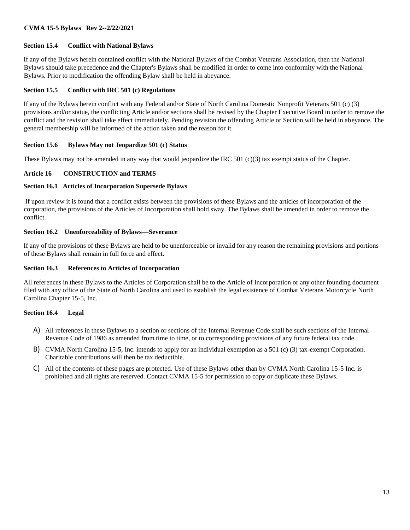# **Section 15.4 Conflict with National Bylaws**

If any of the Bylaws herein contained conflict with the National Bylaws of the Combat Veterans Association, then the National Bylaws should take precedence and the Chapter's Bylaws shall be modified in order to come into conformity with the National Bylaws. Prior to modification the offending Bylaw shall be held in abeyance.

# **Section 15.5 Conflict with IRC 501 (c) Regulations**

If any of the Bylaws herein conflict with any Federal and/or State of North Carolina Domestic Nonprofit Veterans 501 (c) (3) provisions and/or statue, the conflicting Article and/or sections shall be revised by the Chapter Executive Board in order to remove the conflict and the revision shall take effect immediately. Pending revision the offending Article or Section will be held in abeyance. The general membership will be informed of the action taken and the reason for it.

# **Section 15.6 Bylaws May not Jeopardize 501 (c) Status**

These Bylaws may not be amended in any way that would jeopardize the IRC 501 (c)(3) tax exempt status of the Chapter.

# **Article 16 CONSTRUCTION and TERMS**

# **Section 16.1 Articles of Incorporation Supersede Bylaws**

If upon review it is found that a conflict exists between the provisions of these Bylaws and the articles of incorporation of the corporation, the provisions of the Articles of Incorporation shall hold sway. The Bylaws shall be amended in order to remove the conflict.

# **Section 16.2 Unenforceability of Bylaws—Severance**

If any of the provisions of these Bylaws are held to be unenforceable or invalid for any reason the remaining provisions and portions of these Bylaws shall remain in full force and effect.

# **Section 16.3 References to Articles of Incorporation**

All references in these Bylaws to the Articles of Corporation shall be to the Article of Incorporation or any other founding document filed with any office of the State of North Carolina and used to establish the legal existence of Combat Veterans Motorcycle North Carolina Chapter 15-5, Inc.

# **Section 16.4 Legal**

- A) All references in these Bylaws to a section or sections of the Internal Revenue Code shall be such sections of the Internal Revenue Code of 1986 as amended from time to time, or to corresponding provisions of any future federal tax code.
- B) CVMA North Carolina 15-5, Inc. intends to apply for an individual exemption as a 501 (c) (3) tax-exempt Corporation. Charitable contributions will then be tax deductible.
- C) All of the contents of these pages are protected. Use of these Bylaws other than by CVMA North Carolina 15-5 Inc. is prohibited and all rights are reserved. Contact CVMA 15-5 for permission to copy or duplicate these Bylaws.